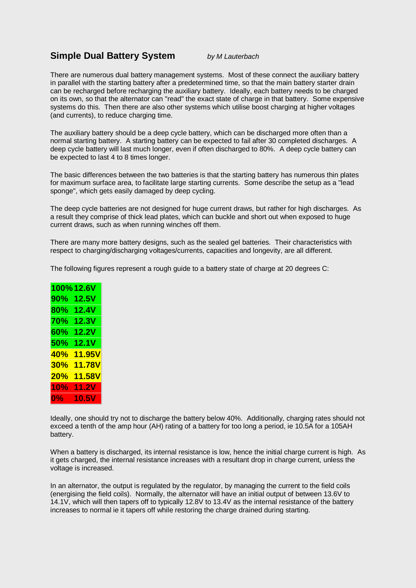## **Simple Dual Battery System** *by M Lauterbach*

There are numerous dual battery management systems. Most of these connect the auxiliary battery in parallel with the starting battery after a predetermined time, so that the main battery starter drain can be recharged before recharging the auxiliary battery. Ideally, each battery needs to be charged on its own, so that the alternator can "read" the exact state of charge in that battery. Some expensive systems do this. Then there are also other systems which utilise boost charging at higher voltages (and currents), to reduce charging time.

The auxiliary battery should be a deep cycle battery, which can be discharged more often than a normal starting battery. A starting battery can be expected to fail after 30 completed discharges. A deep cycle battery will last much longer, even if often discharged to 80%. A deep cycle battery can be expected to last 4 to 8 times longer.

The basic differences between the two batteries is that the starting battery has numerous thin plates for maximum surface area, to facilitate large starting currents. Some describe the setup as a "lead sponge", which gets easily damaged by deep cycling.

The deep cycle batteries are not designed for huge current draws, but rather for high discharges. As a result they comprise of thick lead plates, which can buckle and short out when exposed to huge current draws, such as when running winches off them.

There are many more battery designs, such as the sealed gel batteries. Their characteristics with respect to charging/discharging voltages/currents, capacities and longevity, are all different.

The following figures represent a rough guide to a battery state of charge at 20 degrees C:

|       | 100% 12.6V   |
|-------|--------------|
| 90%   | 12.5V        |
| 80%   | <b>12.4V</b> |
| 70%   | 12.3V        |
| 60%   | 12.2V        |
| 50%   | 12.1V        |
| 40%   | 11.95V       |
| 30%   | 11.78V       |
| 20%   | 11.58V       |
| 10%   | 11.2V        |
| $0\%$ | 10.5V        |

Ideally, one should try not to discharge the battery below 40%. Additionally, charging rates should not exceed a tenth of the amp hour (AH) rating of a battery for too long a period, ie 10.5A for a 105AH battery.

When a battery is discharged, its internal resistance is low, hence the initial charge current is high. As it gets charged, the internal resistance increases with a resultant drop in charge current, unless the voltage is increased.

In an alternator, the output is regulated by the regulator, by managing the current to the field coils (energising the field coils). Normally, the alternator will have an initial output of between 13.6V to 14.1V, which will then tapers off to typically 12.8V to 13.4V as the internal resistance of the battery increases to normal ie it tapers off while restoring the charge drained during starting.